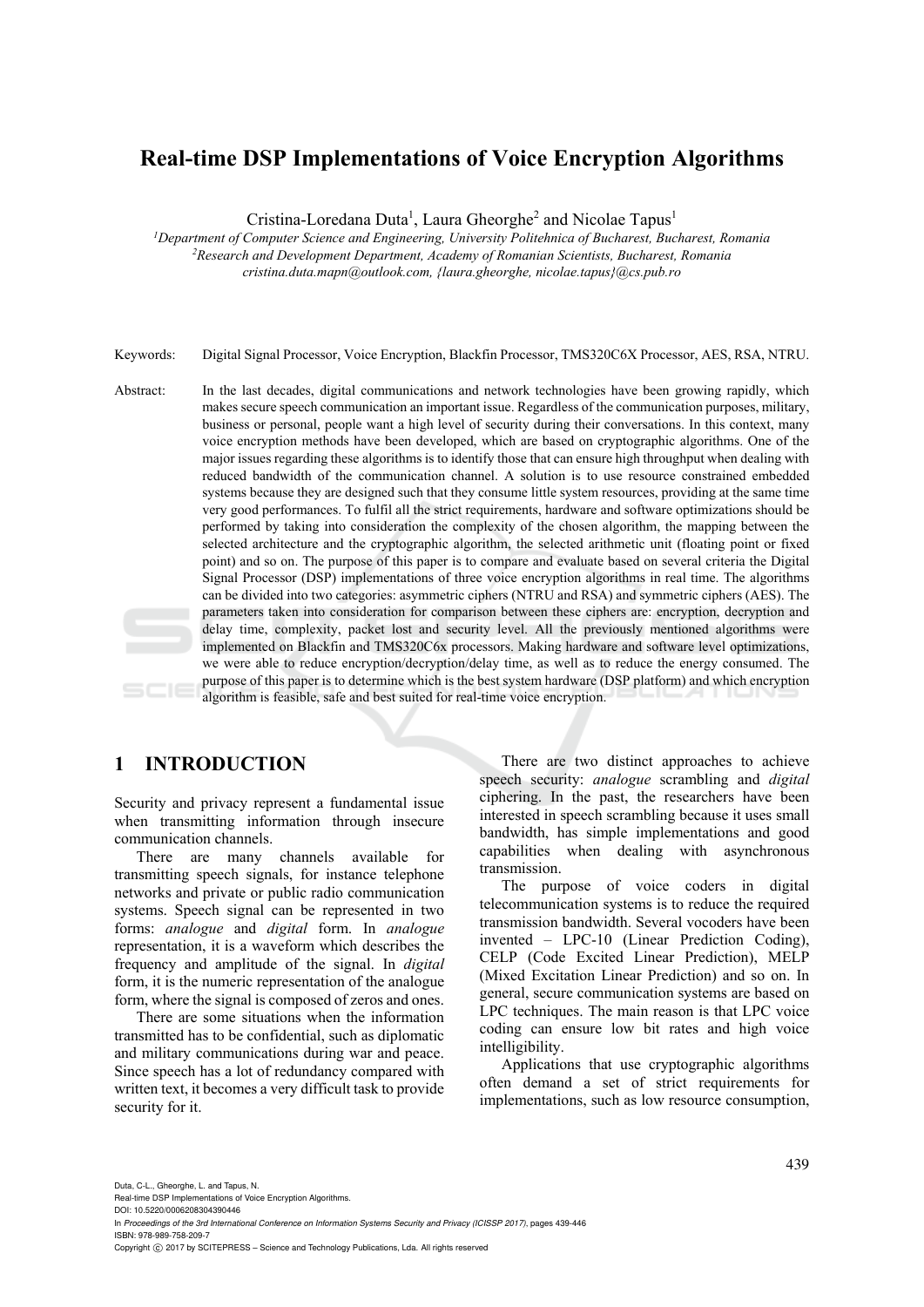# **Real-time DSP Implementations of Voice Encryption Algorithms**

Cristina-Loredana Duta<sup>1</sup>, Laura Gheorghe<sup>2</sup> and Nicolae Tapus<sup>1</sup>

*1 Department of Computer Science and Engineering, University Politehnica of Bucharest, Bucharest, Romania 2 Research and Development Department, Academy of Romanian Scientists, Bucharest, Romania cristina.duta.mapn@outlook.com, {laura.gheorghe, nicolae.tapus}@cs.pub.ro* 

Keywords: Digital Signal Processor, Voice Encryption, Blackfin Processor, TMS320C6X Processor, AES, RSA, NTRU.

Abstract: In the last decades, digital communications and network technologies have been growing rapidly, which makes secure speech communication an important issue. Regardless of the communication purposes, military, business or personal, people want a high level of security during their conversations. In this context, many voice encryption methods have been developed, which are based on cryptographic algorithms. One of the major issues regarding these algorithms is to identify those that can ensure high throughput when dealing with reduced bandwidth of the communication channel. A solution is to use resource constrained embedded systems because they are designed such that they consume little system resources, providing at the same time very good performances. To fulfil all the strict requirements, hardware and software optimizations should be performed by taking into consideration the complexity of the chosen algorithm, the mapping between the selected architecture and the cryptographic algorithm, the selected arithmetic unit (floating point or fixed point) and so on. The purpose of this paper is to compare and evaluate based on several criteria the Digital Signal Processor (DSP) implementations of three voice encryption algorithms in real time. The algorithms can be divided into two categories: asymmetric ciphers (NTRU and RSA) and symmetric ciphers (AES). The parameters taken into consideration for comparison between these ciphers are: encryption, decryption and delay time, complexity, packet lost and security level. All the previously mentioned algorithms were implemented on Blackfin and TMS320C6x processors. Making hardware and software level optimizations, we were able to reduce encryption/decryption/delay time, as well as to reduce the energy consumed. The purpose of this paper is to determine which is the best system hardware (DSP platform) and which encryption algorithm is feasible, safe and best suited for real-time voice encryption.

# **1 INTRODUCTION**

Security and privacy represent a fundamental issue when transmitting information through insecure communication channels.

There are many channels available for transmitting speech signals, for instance telephone networks and private or public radio communication systems. Speech signal can be represented in two forms: *analogue* and *digital* form. In *analogue* representation, it is a waveform which describes the frequency and amplitude of the signal. In *digital* form, it is the numeric representation of the analogue form, where the signal is composed of zeros and ones.

There are some situations when the information transmitted has to be confidential, such as diplomatic and military communications during war and peace. Since speech has a lot of redundancy compared with written text, it becomes a very difficult task to provide security for it.

There are two distinct approaches to achieve speech security: *analogue* scrambling and *digital* ciphering. In the past, the researchers have been interested in speech scrambling because it uses small bandwidth, has simple implementations and good capabilities when dealing with asynchronous transmission.

The purpose of voice coders in digital telecommunication systems is to reduce the required transmission bandwidth. Several vocoders have been invented – LPC-10 (Linear Prediction Coding), CELP (Code Excited Linear Prediction), MELP (Mixed Excitation Linear Prediction) and so on. In general, secure communication systems are based on LPC techniques. The main reason is that LPC voice coding can ensure low bit rates and high voice intelligibility.

Applications that use cryptographic algorithms often demand a set of strict requirements for implementations, such as low resource consumption,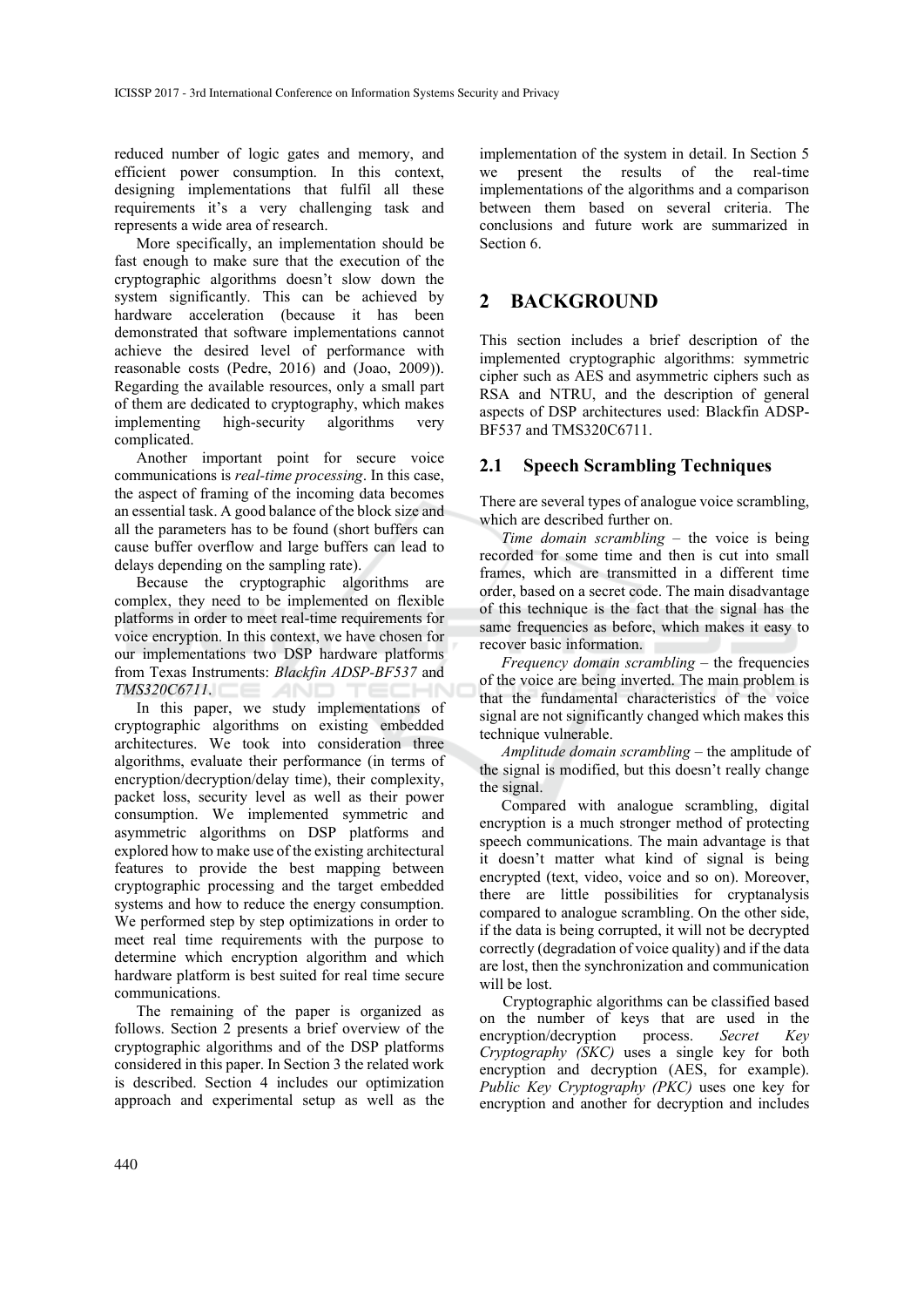reduced number of logic gates and memory, and efficient power consumption. In this context, designing implementations that fulfil all these requirements it's a very challenging task and represents a wide area of research.

More specifically, an implementation should be fast enough to make sure that the execution of the cryptographic algorithms doesn't slow down the system significantly. This can be achieved by hardware acceleration (because it has been demonstrated that software implementations cannot achieve the desired level of performance with reasonable costs (Pedre, 2016) and (Joao, 2009)). Regarding the available resources, only a small part of them are dedicated to cryptography, which makes implementing high-security algorithms very complicated.

Another important point for secure voice communications is *real-time processing*. In this case, the aspect of framing of the incoming data becomes an essential task. A good balance of the block size and all the parameters has to be found (short buffers can cause buffer overflow and large buffers can lead to delays depending on the sampling rate).

Because the cryptographic algorithms are complex, they need to be implemented on flexible platforms in order to meet real-time requirements for voice encryption. In this context, we have chosen for our implementations two DSP hardware platforms from Texas Instruments: *Blackfin ADSP-BF537* and *TMS320C6711*.

In this paper, we study implementations of cryptographic algorithms on existing embedded architectures. We took into consideration three algorithms, evaluate their performance (in terms of encryption/decryption/delay time), their complexity, packet loss, security level as well as their power consumption. We implemented symmetric and asymmetric algorithms on DSP platforms and explored how to make use of the existing architectural features to provide the best mapping between cryptographic processing and the target embedded systems and how to reduce the energy consumption. We performed step by step optimizations in order to meet real time requirements with the purpose to determine which encryption algorithm and which hardware platform is best suited for real time secure communications.

The remaining of the paper is organized as follows. Section 2 presents a brief overview of the cryptographic algorithms and of the DSP platforms considered in this paper. In Section 3 the related work is described. Section 4 includes our optimization approach and experimental setup as well as the

implementation of the system in detail. In Section 5 we present the results of the real-time implementations of the algorithms and a comparison between them based on several criteria. The conclusions and future work are summarized in Section 6.

# **2 BACKGROUND**

This section includes a brief description of the implemented cryptographic algorithms: symmetric cipher such as AES and asymmetric ciphers such as RSA and NTRU, and the description of general aspects of DSP architectures used: Blackfin ADSP-BF537 and TMS320C6711.

### **2.1 Speech Scrambling Techniques**

There are several types of analogue voice scrambling, which are described further on.

*Time domain scrambling* – the voice is being recorded for some time and then is cut into small frames, which are transmitted in a different time order, based on a secret code. The main disadvantage of this technique is the fact that the signal has the same frequencies as before, which makes it easy to recover basic information.

*Frequency domain scrambling* – the frequencies of the voice are being inverted. The main problem is that the fundamental characteristics of the voice signal are not significantly changed which makes this technique vulnerable.

*Amplitude domain scrambling* – the amplitude of the signal is modified, but this doesn't really change the signal.

Compared with analogue scrambling, digital encryption is a much stronger method of protecting speech communications. The main advantage is that it doesn't matter what kind of signal is being encrypted (text, video, voice and so on). Moreover, there are little possibilities for cryptanalysis compared to analogue scrambling. On the other side, if the data is being corrupted, it will not be decrypted correctly (degradation of voice quality) and if the data are lost, then the synchronization and communication will be lost.

Cryptographic algorithms can be classified based on the number of keys that are used in the encryption/decryption process. *Secret Key Cryptography (SKC)* uses a single key for both encryption and decryption (AES, for example). *Public Key Cryptography (PKC)* uses one key for encryption and another for decryption and includes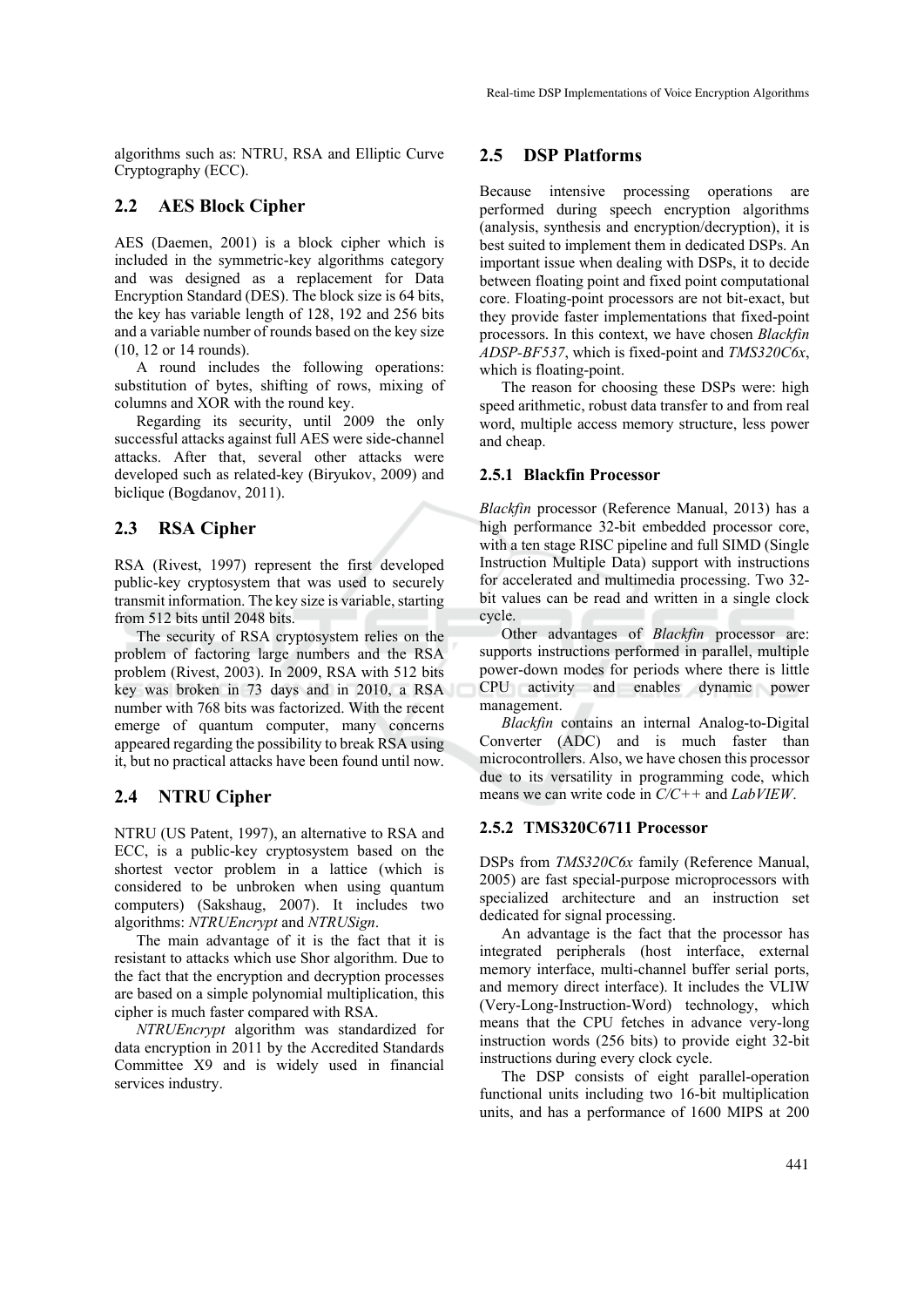algorithms such as: NTRU, RSA and Elliptic Curve Cryptography (ECC).

### **2.2 AES Block Cipher**

AES (Daemen, 2001) is a block cipher which is included in the symmetric-key algorithms category and was designed as a replacement for Data Encryption Standard (DES). The block size is 64 bits, the key has variable length of 128, 192 and 256 bits and a variable number of rounds based on the key size (10, 12 or 14 rounds).

A round includes the following operations: substitution of bytes, shifting of rows, mixing of columns and XOR with the round key.

Regarding its security, until 2009 the only successful attacks against full AES were side-channel attacks. After that, several other attacks were developed such as related-key (Biryukov, 2009) and biclique (Bogdanov, 2011).

### **2.3 RSA Cipher**

RSA (Rivest, 1997) represent the first developed public-key cryptosystem that was used to securely transmit information. The key size is variable, starting from 512 bits until 2048 bits.

The security of RSA cryptosystem relies on the problem of factoring large numbers and the RSA problem (Rivest, 2003). In 2009, RSA with 512 bits key was broken in 73 days and in 2010, a RSA number with 768 bits was factorized. With the recent emerge of quantum computer, many concerns appeared regarding the possibility to break RSA using it, but no practical attacks have been found until now.

#### **2.4 NTRU Cipher**

NTRU (US Patent, 1997), an alternative to RSA and ECC, is a public-key cryptosystem based on the shortest vector problem in a lattice (which is considered to be unbroken when using quantum computers) (Sakshaug, 2007). It includes two algorithms: *NTRUEncrypt* and *NTRUSign*.

The main advantage of it is the fact that it is resistant to attacks which use Shor algorithm. Due to the fact that the encryption and decryption processes are based on a simple polynomial multiplication, this cipher is much faster compared with RSA.

*NTRUEncrypt* algorithm was standardized for data encryption in 2011 by the Accredited Standards Committee X9 and is widely used in financial services industry.

#### **2.5 DSP Platforms**

Because intensive processing operations are performed during speech encryption algorithms (analysis, synthesis and encryption/decryption), it is best suited to implement them in dedicated DSPs. An important issue when dealing with DSPs, it to decide between floating point and fixed point computational core. Floating-point processors are not bit-exact, but they provide faster implementations that fixed-point processors. In this context, we have chosen *Blackfin ADSP-BF537*, which is fixed-point and *TMS320C6x*, which is floating-point.

The reason for choosing these DSPs were: high speed arithmetic, robust data transfer to and from real word, multiple access memory structure, less power and cheap.

#### **2.5.1 Blackfin Processor**

*Blackfin* processor (Reference Manual, 2013) has a high performance 32-bit embedded processor core, with a ten stage RISC pipeline and full SIMD (Single Instruction Multiple Data) support with instructions for accelerated and multimedia processing. Two 32 bit values can be read and written in a single clock cycle.

Other advantages of *Blackfin* processor are: supports instructions performed in parallel, multiple power-down modes for periods where there is little CPU activity and enables dynamic power management.

*Blackfin* contains an internal Analog-to-Digital Converter (ADC) and is much faster than microcontrollers. Also, we have chosen this processor due to its versatility in programming code, which means we can write code in *C/C++* and *LabVIEW*.

#### **2.5.2 TMS320C6711 Processor**

DSPs from *TMS320C6x* family (Reference Manual, 2005) are fast special-purpose microprocessors with specialized architecture and an instruction set dedicated for signal processing.

An advantage is the fact that the processor has integrated peripherals (host interface, external memory interface, multi-channel buffer serial ports, and memory direct interface). It includes the VLIW (Very-Long-Instruction-Word) technology, which means that the CPU fetches in advance very-long instruction words (256 bits) to provide eight 32-bit instructions during every clock cycle.

The DSP consists of eight parallel-operation functional units including two 16-bit multiplication units, and has a performance of 1600 MIPS at 200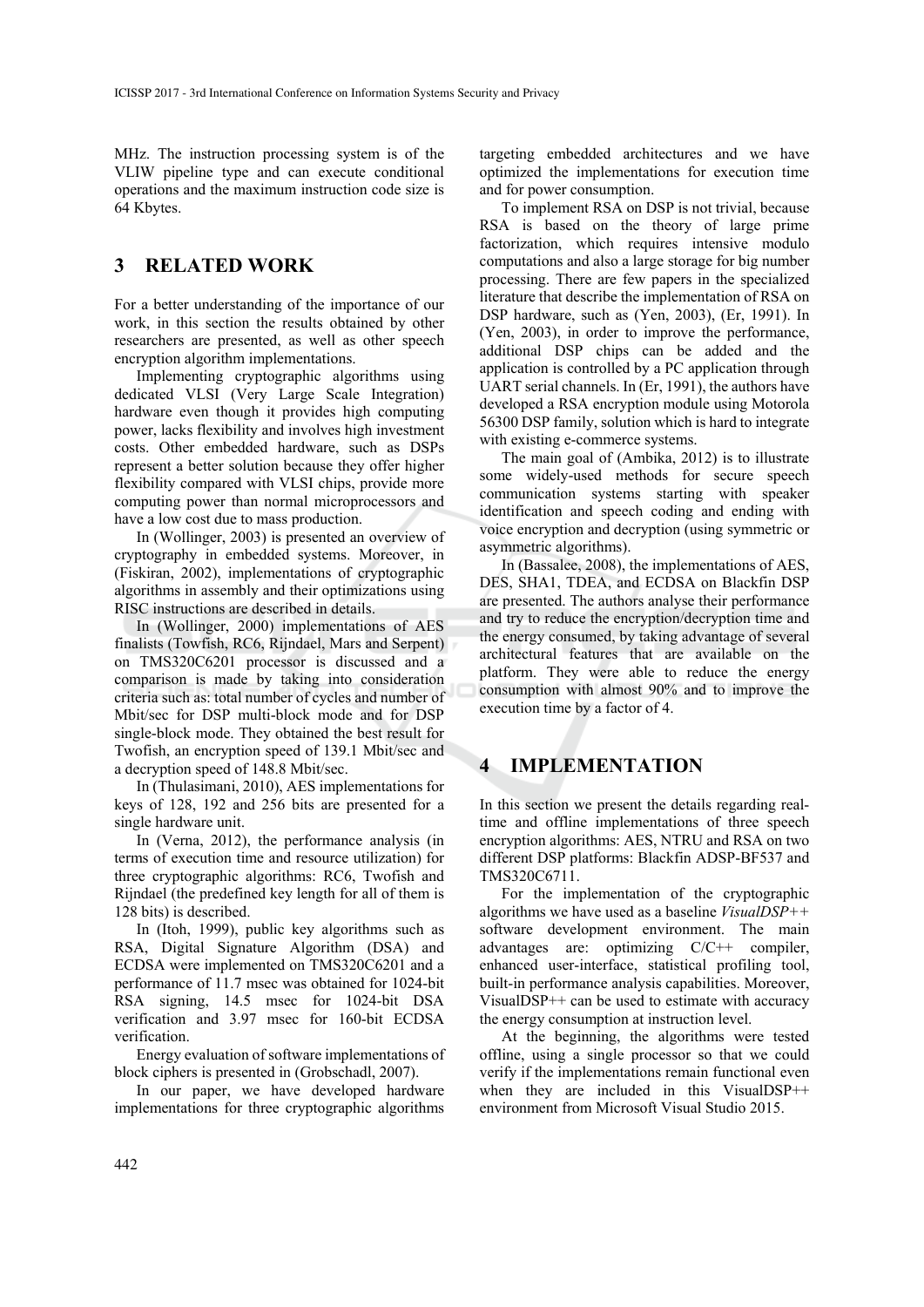MHz. The instruction processing system is of the VLIW pipeline type and can execute conditional operations and the maximum instruction code size is 64 Kbytes.

### **3 RELATED WORK**

For a better understanding of the importance of our work, in this section the results obtained by other researchers are presented, as well as other speech encryption algorithm implementations.

Implementing cryptographic algorithms using dedicated VLSI (Very Large Scale Integration) hardware even though it provides high computing power, lacks flexibility and involves high investment costs. Other embedded hardware, such as DSPs represent a better solution because they offer higher flexibility compared with VLSI chips, provide more computing power than normal microprocessors and have a low cost due to mass production.

In (Wollinger, 2003) is presented an overview of cryptography in embedded systems. Moreover, in (Fiskiran, 2002), implementations of cryptographic algorithms in assembly and their optimizations using RISC instructions are described in details.

In (Wollinger, 2000) implementations of AES finalists (Towfish, RC6, Rijndael, Mars and Serpent) on TMS320C6201 processor is discussed and a comparison is made by taking into consideration criteria such as: total number of cycles and number of Mbit/sec for DSP multi-block mode and for DSP single-block mode. They obtained the best result for Twofish, an encryption speed of 139.1 Mbit/sec and a decryption speed of 148.8 Mbit/sec.

In (Thulasimani, 2010), AES implementations for keys of 128, 192 and 256 bits are presented for a single hardware unit.

In (Verna, 2012), the performance analysis (in terms of execution time and resource utilization) for three cryptographic algorithms: RC6, Twofish and Rijndael (the predefined key length for all of them is 128 bits) is described.

In (Itoh, 1999), public key algorithms such as RSA, Digital Signature Algorithm (DSA) and ECDSA were implemented on TMS320C6201 and a performance of 11.7 msec was obtained for 1024-bit RSA signing, 14.5 msec for 1024-bit DSA verification and 3.97 msec for 160-bit ECDSA verification.

Energy evaluation of software implementations of block ciphers is presented in (Grobschadl, 2007).

In our paper, we have developed hardware implementations for three cryptographic algorithms

targeting embedded architectures and we have optimized the implementations for execution time and for power consumption.

To implement RSA on DSP is not trivial, because RSA is based on the theory of large prime factorization, which requires intensive modulo computations and also a large storage for big number processing. There are few papers in the specialized literature that describe the implementation of RSA on DSP hardware, such as (Yen, 2003), (Er, 1991). In (Yen, 2003), in order to improve the performance, additional DSP chips can be added and the application is controlled by a PC application through UART serial channels. In (Er, 1991), the authors have developed a RSA encryption module using Motorola 56300 DSP family, solution which is hard to integrate with existing e-commerce systems.

The main goal of (Ambika, 2012) is to illustrate some widely-used methods for secure speech communication systems starting with speaker identification and speech coding and ending with voice encryption and decryption (using symmetric or asymmetric algorithms).

In (Bassalee, 2008), the implementations of AES, DES, SHA1, TDEA, and ECDSA on Blackfin DSP are presented. The authors analyse their performance and try to reduce the encryption/decryption time and the energy consumed, by taking advantage of several architectural features that are available on the platform. They were able to reduce the energy consumption with almost 90% and to improve the execution time by a factor of 4.

### **4 IMPLEMENTATION**

In this section we present the details regarding realtime and offline implementations of three speech encryption algorithms: AES, NTRU and RSA on two different DSP platforms: Blackfin ADSP-BF537 and TMS320C6711.

For the implementation of the cryptographic algorithms we have used as a baseline *VisualDSP++* software development environment. The main advantages are: optimizing C/C++ compiler, enhanced user-interface, statistical profiling tool, built-in performance analysis capabilities. Moreover, VisualDSP++ can be used to estimate with accuracy the energy consumption at instruction level.

At the beginning, the algorithms were tested offline, using a single processor so that we could verify if the implementations remain functional even when they are included in this VisualDSP<sup>++</sup> environment from Microsoft Visual Studio 2015.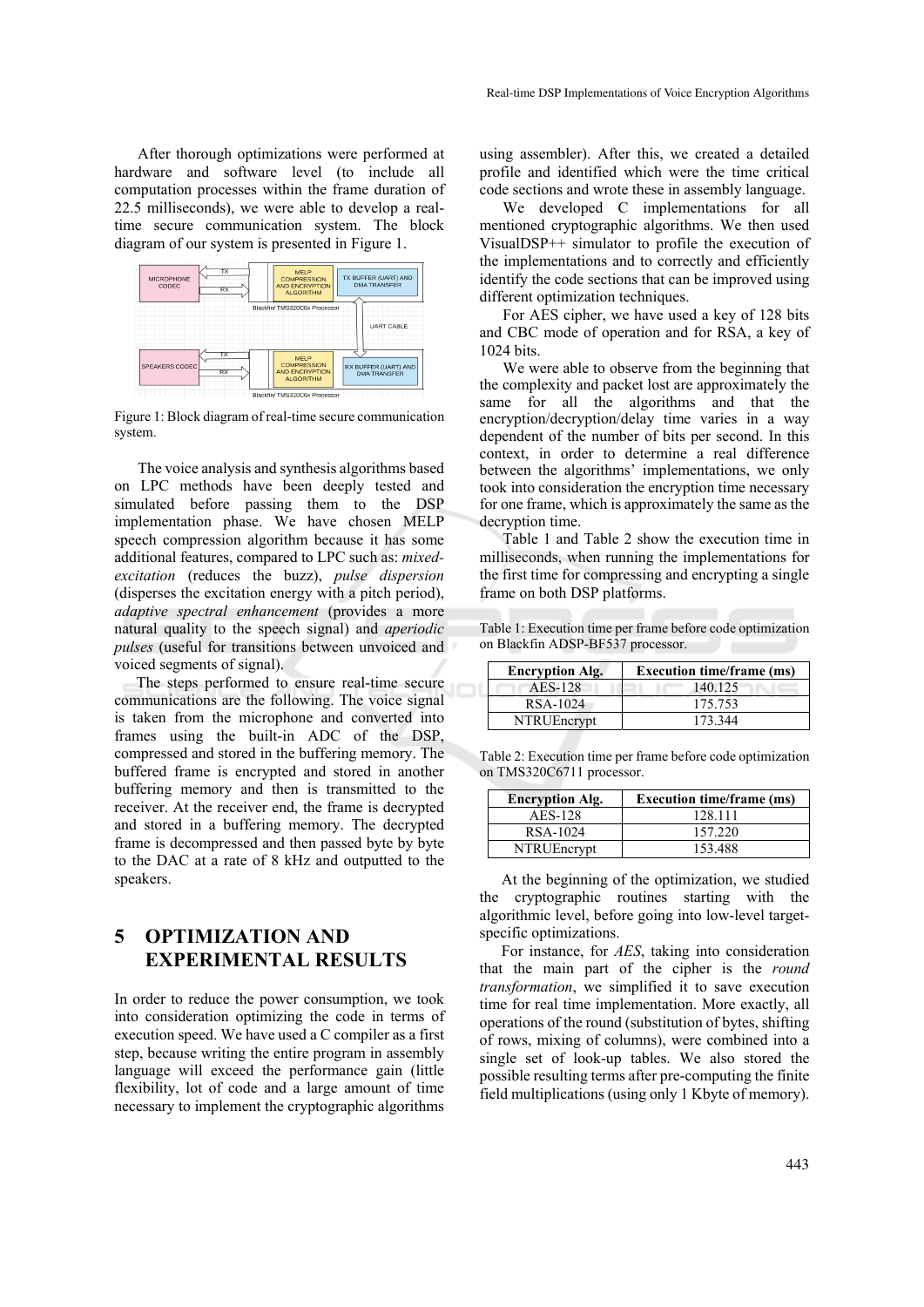After thorough optimizations were performed at hardware and software level (to include all computation processes within the frame duration of 22.5 milliseconds), we were able to develop a realtime secure communication system. The block diagram of our system is presented in Figure 1.



Figure 1: Block diagram of real-time secure communication system.

The voice analysis and synthesis algorithms based on LPC methods have been deeply tested and simulated before passing them to the DSP implementation phase. We have chosen MELP speech compression algorithm because it has some additional features, compared to LPC such as: *mixedexcitation* (reduces the buzz), *pulse dispersion* (disperses the excitation energy with a pitch period), *adaptive spectral enhancement* (provides a more natural quality to the speech signal) and *aperiodic pulses* (useful for transitions between unvoiced and voiced segments of signal).

The steps performed to ensure real-time secure communications are the following. The voice signal is taken from the microphone and converted into frames using the built-in ADC of the DSP, compressed and stored in the buffering memory. The buffered frame is encrypted and stored in another buffering memory and then is transmitted to the receiver. At the receiver end, the frame is decrypted and stored in a buffering memory. The decrypted frame is decompressed and then passed byte by byte to the DAC at a rate of 8 kHz and outputted to the speakers.

# **5 OPTIMIZATION AND EXPERIMENTAL RESULTS**

In order to reduce the power consumption, we took into consideration optimizing the code in terms of execution speed. We have used a C compiler as a first step, because writing the entire program in assembly language will exceed the performance gain (little flexibility, lot of code and a large amount of time necessary to implement the cryptographic algorithms

using assembler). After this, we created a detailed profile and identified which were the time critical code sections and wrote these in assembly language.

We developed C implementations for all mentioned cryptographic algorithms. We then used VisualDSP++ simulator to profile the execution of the implementations and to correctly and efficiently identify the code sections that can be improved using different optimization techniques.

For AES cipher, we have used a key of 128 bits and CBC mode of operation and for RSA, a key of 1024 bits.

We were able to observe from the beginning that the complexity and packet lost are approximately the same for all the algorithms and that the encryption/decryption/delay time varies in a way dependent of the number of bits per second. In this context, in order to determine a real difference between the algorithms' implementations, we only took into consideration the encryption time necessary for one frame, which is approximately the same as the decryption time.

Table 1 and Table 2 show the execution time in milliseconds, when running the implementations for the first time for compressing and encrypting a single frame on both DSP platforms.

Table 1: Execution time per frame before code optimization on Blackfin ADSP-BF537 processor.

| <b>Encryption Alg.</b> | <b>Execution time/frame (ms)</b> |
|------------------------|----------------------------------|
| AES-128                | 140.125                          |
| RSA-1024               | 175.753                          |
| <b>NTRUE</b> ncrypt    | 173.344                          |

Table 2: Execution time per frame before code optimization on TMS320C6711 processor.

| <b>Encryption Alg.</b> | <b>Execution time/frame (ms)</b> |
|------------------------|----------------------------------|
| AES-128                | 128 111                          |
| RSA-1024               | 157.220                          |
| NTRUEncrypt            | 153.488                          |

At the beginning of the optimization, we studied the cryptographic routines starting with the algorithmic level, before going into low-level targetspecific optimizations.

For instance, for *AES*, taking into consideration that the main part of the cipher is the *round transformation*, we simplified it to save execution time for real time implementation. More exactly, all operations of the round (substitution of bytes, shifting of rows, mixing of columns), were combined into a single set of look-up tables. We also stored the possible resulting terms after pre-computing the finite field multiplications (using only 1 Kbyte of memory).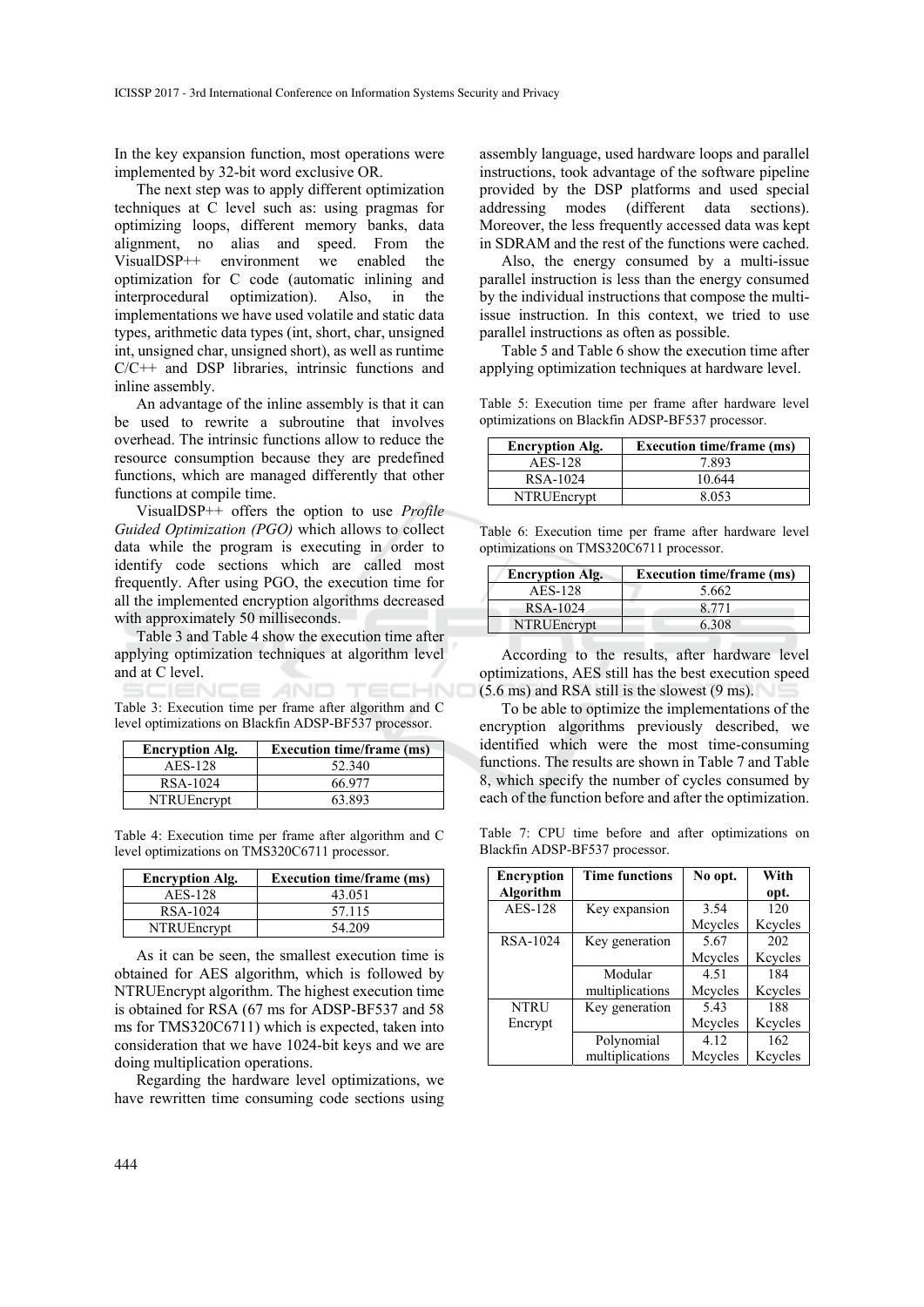In the key expansion function, most operations were implemented by 32-bit word exclusive OR.

The next step was to apply different optimization techniques at C level such as: using pragmas for optimizing loops, different memory banks, data alignment, no alias and speed. From the VisualDSP++ environment we enabled the optimization for C code (automatic inlining and interprocedural optimization). Also, in the implementations we have used volatile and static data types, arithmetic data types (int, short, char, unsigned int, unsigned char, unsigned short), as well as runtime C/C++ and DSP libraries, intrinsic functions and inline assembly.

An advantage of the inline assembly is that it can be used to rewrite a subroutine that involves overhead. The intrinsic functions allow to reduce the resource consumption because they are predefined functions, which are managed differently that other functions at compile time.

VisualDSP++ offers the option to use *Profile Guided Optimization (PGO)* which allows to collect data while the program is executing in order to identify code sections which are called most frequently. After using PGO, the execution time for all the implemented encryption algorithms decreased with approximately 50 milliseconds.

Table 3 and Table 4 show the execution time after applying optimization techniques at algorithm level and at C level.

NCE *A*ND. Table 3: Execution time per frame after algorithm and C level optimizations on Blackfin ADSP-BF537 processor.

| <b>Encryption Alg.</b> | <b>Execution time/frame (ms)</b> |
|------------------------|----------------------------------|
| AES-128                | 52.340                           |
| RSA-1024               | 66 977                           |
| NTRUEncrypt            | 63.893                           |

Table 4: Execution time per frame after algorithm and C level optimizations on TMS320C6711 processor.

| <b>Encryption Alg.</b> | <b>Execution time/frame (ms)</b> |
|------------------------|----------------------------------|
| AES-128                | 43.051                           |
| RSA-1024               | 57.115                           |
| NTRUEncrypt            | 54.209                           |

As it can be seen, the smallest execution time is obtained for AES algorithm, which is followed by NTRUEncrypt algorithm. The highest execution time is obtained for RSA (67 ms for ADSP-BF537 and 58 ms for TMS320C6711) which is expected, taken into consideration that we have 1024-bit keys and we are doing multiplication operations.

Regarding the hardware level optimizations, we have rewritten time consuming code sections using assembly language, used hardware loops and parallel instructions, took advantage of the software pipeline provided by the DSP platforms and used special addressing modes (different data sections). Moreover, the less frequently accessed data was kept in SDRAM and the rest of the functions were cached.

Also, the energy consumed by a multi-issue parallel instruction is less than the energy consumed by the individual instructions that compose the multiissue instruction. In this context, we tried to use parallel instructions as often as possible.

Table 5 and Table 6 show the execution time after applying optimization techniques at hardware level.

Table 5: Execution time per frame after hardware level optimizations on Blackfin ADSP-BF537 processor.

| <b>Encryption Alg.</b> | <b>Execution time/frame (ms)</b> |
|------------------------|----------------------------------|
| AES-128                | 7.893                            |
| RSA-1024               | 10.644                           |
| <b>NTRUE</b> ncrypt    | 8053                             |

Table 6: Execution time per frame after hardware level optimizations on TMS320C6711 processor.

| <b>Encryption Alg.</b> | <b>Execution time/frame (ms)</b> |
|------------------------|----------------------------------|
| AES-128                | 5.662                            |
| RSA-1024               | 8 7 7 1                          |
| <b>NTRUEncrypt</b>     | 6.308                            |

According to the results, after hardware level optimizations, AES still has the best execution speed (5.6 ms) and RSA still is the slowest (9 ms).

To be able to optimize the implementations of the encryption algorithms previously described, we identified which were the most time-consuming functions. The results are shown in Table 7 and Table 8, which specify the number of cycles consumed by each of the function before and after the optimization.

Table 7: CPU time before and after optimizations on Blackfin ADSP-BF537 processor.

| Encryption      | <b>Time functions</b> | No opt. | With    |
|-----------------|-----------------------|---------|---------|
| Algorithm       |                       |         | opt.    |
| <b>AES-128</b>  | Key expansion         | 3.54    | 120     |
|                 |                       | Mcycles | Keycles |
| <b>RSA-1024</b> | Key generation        | 5.67    | 202     |
|                 |                       | Mcycles | Keycles |
|                 | Modular               | 4.51    | 184     |
|                 | multiplications       | Mcycles | Keycles |
| <b>NTRU</b>     | Key generation        | 5.43    | 188     |
| Encrypt         |                       | Mcycles | Keyeles |
|                 | Polynomial            | 4.12    | 162     |
|                 | multiplications       | Mcycles | Keyeles |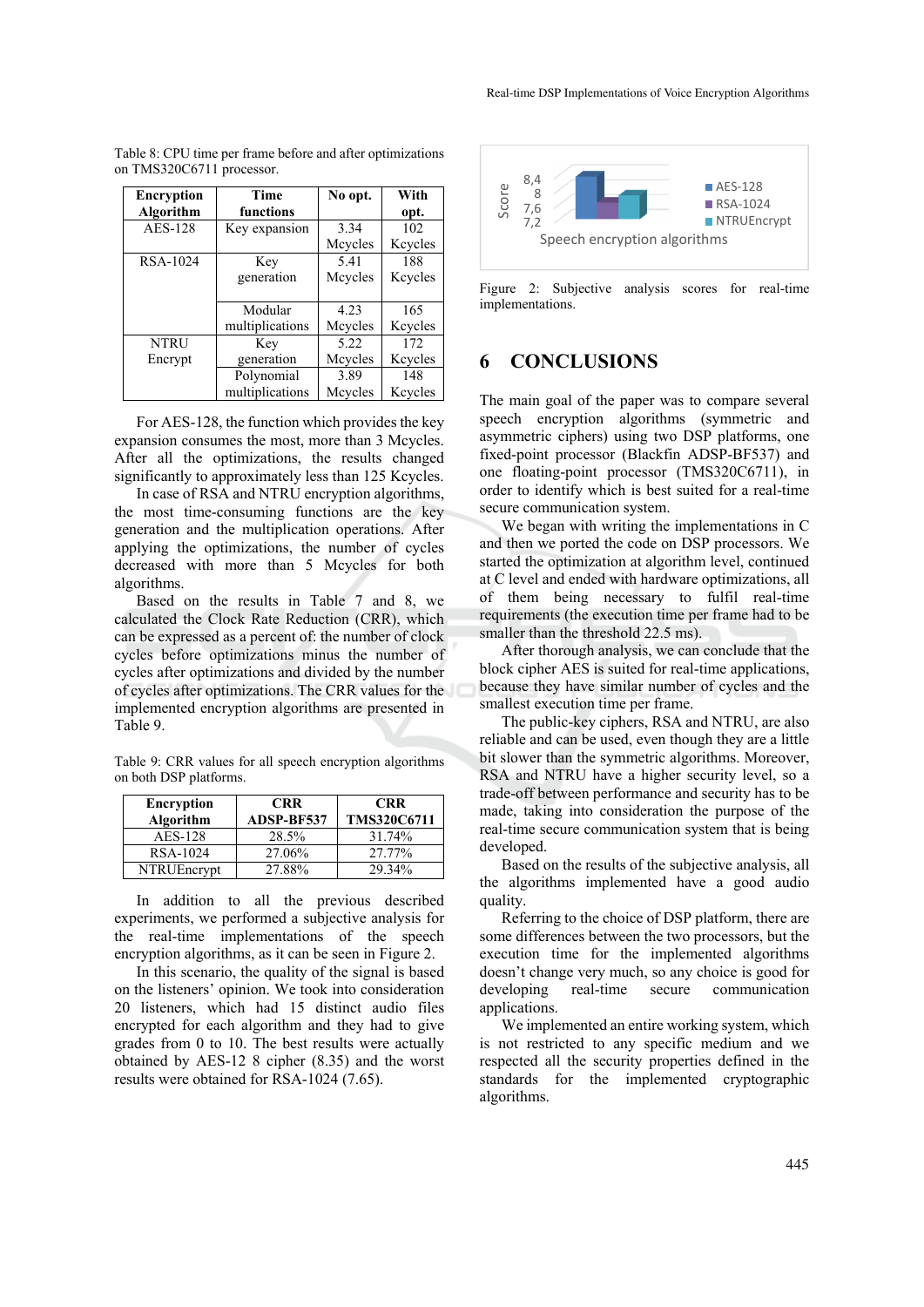| Encryption     | <b>Time</b>     | No opt. | With    |
|----------------|-----------------|---------|---------|
| Algorithm      | functions       |         | opt.    |
| <b>AES-128</b> | Key expansion   | 3.34    | 102     |
|                |                 | Mcycles | Keycles |
| RSA-1024       | Key             | 5.41    | 188     |
|                | generation      | Mcycles | Keycles |
|                |                 |         |         |
|                | Modular         | 4.23    | 165     |
|                | multiplications | Mcycles | Keycles |
| <b>NTRU</b>    | Key             | 5.22    | 172     |
| Encrypt        | generation      | Mcycles | Keycles |
|                | Polynomial      | 3.89    | 148     |
|                | multiplications | Mcycles | Keycles |

Table 8: CPU time per frame before and after optimizations on TMS320C6711 processor.

For AES-128, the function which provides the key expansion consumes the most, more than 3 Mcycles. After all the optimizations, the results changed significantly to approximately less than 125 Kcycles.

In case of RSA and NTRU encryption algorithms, the most time-consuming functions are the key generation and the multiplication operations. After applying the optimizations, the number of cycles decreased with more than 5 Mcycles for both algorithms.

Based on the results in Table 7 and 8, we calculated the Clock Rate Reduction (CRR), which can be expressed as a percent of: the number of clock cycles before optimizations minus the number of cycles after optimizations and divided by the number of cycles after optimizations. The CRR values for the implemented encryption algorithms are presented in Table 9.

Table 9: CRR values for all speech encryption algorithms on both DSP platforms.

| <b>Encryption</b> | <b>CRR</b> | <b>CRR</b>  |
|-------------------|------------|-------------|
| Algorithm         | ADSP-BF537 | TMS320C6711 |
| <b>AES-128</b>    | 28.5%      | 31.74%      |
| RSA-1024          | 27.06%     | 27.77%      |
| NTRUEncrypt       | 27.88%     | 29.34%      |

In addition to all the previous described experiments, we performed a subjective analysis for the real-time implementations of the speech encryption algorithms, as it can be seen in Figure 2.

In this scenario, the quality of the signal is based on the listeners' opinion. We took into consideration 20 listeners, which had 15 distinct audio files encrypted for each algorithm and they had to give grades from 0 to 10. The best results were actually obtained by AES-12 8 cipher (8.35) and the worst results were obtained for RSA-1024 (7.65).



Figure 2: Subjective analysis scores for real-time implementations.

### **6 CONCLUSIONS**

The main goal of the paper was to compare several speech encryption algorithms (symmetric and asymmetric ciphers) using two DSP platforms, one fixed-point processor (Blackfin ADSP-BF537) and one floating-point processor (TMS320C6711), in order to identify which is best suited for a real-time secure communication system.

We began with writing the implementations in C and then we ported the code on DSP processors. We started the optimization at algorithm level, continued at C level and ended with hardware optimizations, all of them being necessary to fulfil real-time requirements (the execution time per frame had to be smaller than the threshold 22.5 ms).

After thorough analysis, we can conclude that the block cipher AES is suited for real-time applications, because they have similar number of cycles and the smallest execution time per frame.

The public-key ciphers, RSA and NTRU, are also reliable and can be used, even though they are a little bit slower than the symmetric algorithms. Moreover, RSA and NTRU have a higher security level, so a trade-off between performance and security has to be made, taking into consideration the purpose of the real-time secure communication system that is being developed.

Based on the results of the subjective analysis, all the algorithms implemented have a good audio quality.

Referring to the choice of DSP platform, there are some differences between the two processors, but the execution time for the implemented algorithms doesn't change very much, so any choice is good for developing real-time secure communication applications.

We implemented an entire working system, which is not restricted to any specific medium and we respected all the security properties defined in the standards for the implemented cryptographic algorithms.